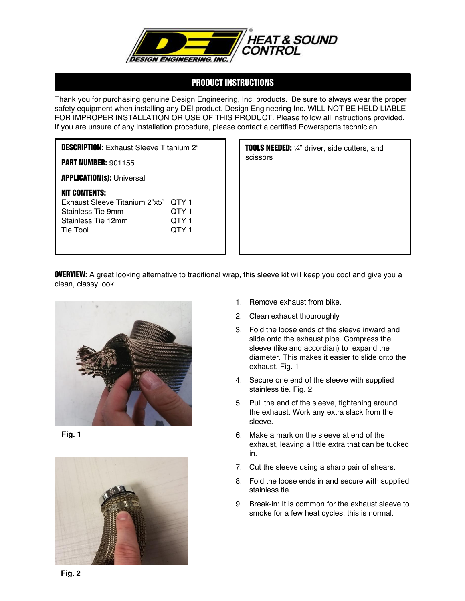

## PRODUCT INSTRUCTIONS

Thank you for purchasing genuine Design Engineering, Inc. products. Be sure to always wear the proper safety equipment when installing any DEI product. Design Engineering Inc. WILL NOT BE HELD LIABLE FOR IMPROPER INSTALLATION OR USE OF THIS PRODUCT. Please follow all instructions provided. If you are unsure of any installation procedure, please contact a certified Powersports technician.

| <b>DESCRIPTION:</b> Exhaust Sleeve Titanium 2"                                                                      |                                  |
|---------------------------------------------------------------------------------------------------------------------|----------------------------------|
| <b>PART NUMBER: 901155</b>                                                                                          |                                  |
| <b>APPLICATION(s): Universal</b>                                                                                    |                                  |
| <b>KIT CONTENTS:</b><br><b>Exhaust Sleeve Titanium 2"x5"</b><br>Stainless Tie 9mm<br>Stainless Tie 12mm<br>Tie Tool | QTY 1<br>QTY 1<br>QTY 1<br>OTY 1 |

**TOOLS NEEDED:** 1/4" driver, side cutters, and scissors

**OVERVIEW:** A great looking alternative to traditional wrap, this sleeve kit will keep you cool and give you a clean, classy look.



**Fig. 1**



- 1. Remove exhaust from bike.
- 2. Clean exhaust thouroughly
- 3. Fold the loose ends of the sleeve inward and slide onto the exhaust pipe. Compress the sleeve (like and accordian) to expand the diameter. This makes it easier to slide onto the exhaust. Fig. 1
- 4. Secure one end of the sleeve with supplied stainless tie. Fig. 2
- 5. Pull the end of the sleeve, tightening around the exhaust. Work any extra slack from the sleeve.
- 6. Make a mark on the sleeve at end of the exhaust, leaving a little extra that can be tucked in.
- 7. Cut the sleeve using a sharp pair of shears.
- 8. Fold the loose ends in and secure with supplied stainless tie.
- 9. Break-in: It is common for the exhaust sleeve to smoke for a few heat cycles, this is normal.